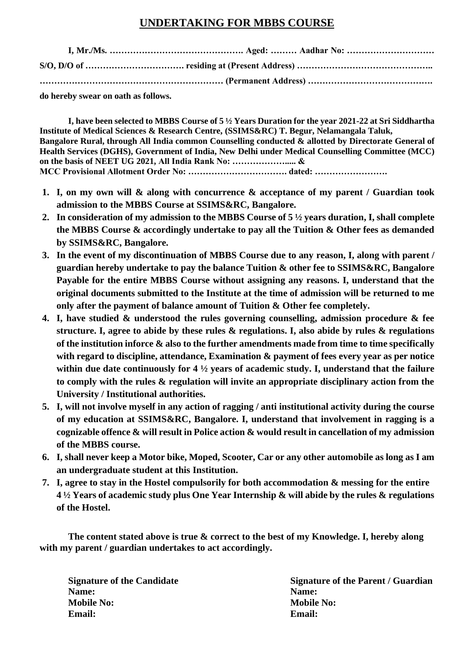## **UNDERTAKING FOR MBBS COURSE**

**do hereby swear on oath as follows.**

**I, have been selected to MBBS Course of 5 ½ Years Duration for the year 2021-22 at Sri Siddhartha Institute of Medical Sciences & Research Centre, (SSIMS&RC) T. Begur, Nelamangala Taluk, Bangalore Rural, through All India common Counselling conducted & allotted by Directorate General of Health Services (DGHS), Government of India, New Delhi under Medical Counselling Committee (MCC) on the basis of NEET UG 2021, All India Rank No: ………………..... & MCC Provisional Allotment Order No: ……………………………. dated: …………………….** 

- **1. I, on my own will & along with concurrence & acceptance of my parent / Guardian took admission to the MBBS Course at SSIMS&RC, Bangalore.**
- **2. In consideration of my admission to the MBBS Course of 5 ½ years duration, I, shall complete the MBBS Course & accordingly undertake to pay all the Tuition & Other fees as demanded by SSIMS&RC, Bangalore.**
- **3. In the event of my discontinuation of MBBS Course due to any reason, I, along with parent / guardian hereby undertake to pay the balance Tuition & other fee to SSIMS&RC, Bangalore Payable for the entire MBBS Course without assigning any reasons. I, understand that the original documents submitted to the Institute at the time of admission will be returned to me only after the payment of balance amount of Tuition & Other fee completely.**
- **4. I, have studied & understood the rules governing counselling, admission procedure & fee structure. I, agree to abide by these rules & regulations. I, also abide by rules & regulations of the institution inforce & also to the further amendments made from time to time specifically with regard to discipline, attendance, Examination & payment of fees every year as per notice within due date continuously for 4 ½ years of academic study. I, understand that the failure to comply with the rules & regulation will invite an appropriate disciplinary action from the University / Institutional authorities.**
- **5. I, will not involve myself in any action of ragging / anti institutional activity during the course of my education at SSIMS&RC, Bangalore. I, understand that involvement in ragging is a cognizable offence & will result in Police action & would result in cancellation of my admission of the MBBS course.**
- **6. I, shall never keep a Motor bike, Moped, Scooter, Car or any other automobile as long as I am an undergraduate student at this Institution.**
- **7. I, agree to stay in the Hostel compulsorily for both accommodation & messing for the entire 4 ½ Years of academic study plus One Year Internship & will abide by the rules & regulations of the Hostel.**

**The content stated above is true & correct to the best of my Knowledge. I, hereby along with my parent / guardian undertakes to act accordingly.** 

**Name:** Name: **Mobile No:** Mobile No: **Email: Email:**

**Signature of the Candidate Signature of the Parent / Guardian**